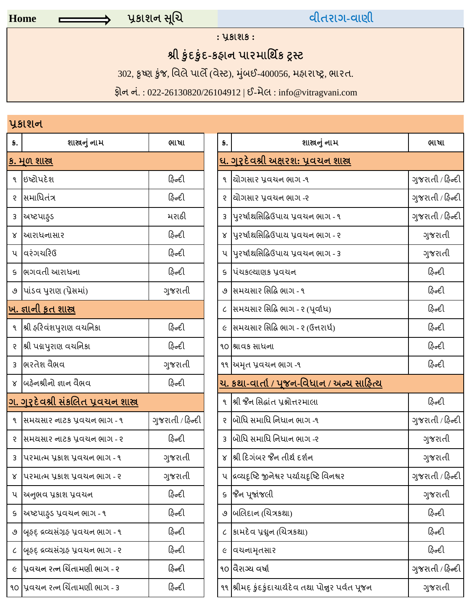# **Home** પર્કાશન સિચૂ વીતરાગ**-**વાણી

**:** પર્કાશક **:**

# શ્રી કુંદકુંદ-કહાન પારમાર્થિક ટ્રસ્ટ

302, કૃષ્ણ કુંજ, વિલે પાલે (વેસ્ટ), મુંબઈ-400056, મહારાષ્ટ્ર, ભારત.

ફોન નં.: 022-26130820/26104912 | ઈ-મેલ: info@vitragvani.com

## પર્કાશન

| 5.            | શાસ્ત્રનું નામ                            | ભાષા             | S.           | શાસ્ત્રનું નામ                                      | ભાષા         |
|---------------|-------------------------------------------|------------------|--------------|-----------------------------------------------------|--------------|
|               | <u>ક. મૂળ શાસ્ત્ર</u>                     |                  |              | <u>ઘ. ગરૂદેવશ્રી અક્ષરશ: પ્રવચન શાસ્ર</u>           |              |
| ۹.            | ઇષ્ટોપદેશ                                 | ફિન્દી           |              | ૧  ચોગસાર પ્રવચન ભાગ -૧                             | ગુજરાતી / ફિ |
| $\mathcal{S}$ | સિમાધિતંત્ર                               | ફિન્દી           |              | ર  ચોગસાર પ્રવચન ભાગ -ર                             | ગુજરાતી / ફિ |
| $\mathbf{3}$  | અષ્ટપાફડ                                  | મરાઠી            |              | 3 પિરર્ષાથસિદ્ધિઉપાય પ્રવચન ભાગ - ૧                 | ગુજરાતી / ફિ |
| Χ             | <u> </u> આરાધનાસાર                        | ફિન્દી           |              | ૪  પુરર્ષાથસિદ્ધિઉપાય પ્રવચન ભાગ - ૨                | ગુજરાતી      |
|               | ૫ વિરંગચરિઉ                               | ફિન્દી           |              | ૫ પુરર્ષાથસિદ્ધિઉપાય પ્રવચન ભાગ - ૩                 | ગુજરાતી      |
| S.            | ભિગવતી આરાધના                             | ફિન્દી           |              | s પિચકલ્યાણક પ્રવચન                                 | ફિન્દી       |
|               | ૭ પિડિવ પુરાણ (પ્રેસમાં)                  | ગુજરાતી          |              | ૭  સમયસાર સિદ્ધિ ભાગ - ૧                            | ફિન્દી       |
|               | <u>ખ. જ્ઞાની કૃત શાસ્ત્ર</u>              |                  |              | ૮ સિમયસાર સિદ્ધિ ભાગ - ૨ (પૂર્વાધ)                  | ફિન્દી       |
|               | ૧ શ્રી ફરિવંશપુરાણ વચનિકા                 | ફિન્દી           |              | ૯ સિમયસાર સિદ્ધિ ભાગ - ૨ (ઉત્તરાર્ધ)                | ફિન્દી       |
| $\mathcal{S}$ | શ્રી પદ્મપુરાણ વચનિકા                     | ફિન્દી           |              | ૧૦ શ્રાવક સાધના                                     | ફિન્દી       |
| 3             | ભિરતેશ વૈભવ                               | ગુજરાતી          |              | ૧૧ ચિમૃત પ્રવચન ભાગ -૧                              | ફિન્દી       |
|               | ૪ બિફેનશ્રીનો જ્ઞાન વૈભવ                  | ફિન્દી           |              | <u>ચ. કથા-વાર્તા / પૃજન-વિધાન / અન્ય સાહિત્ય</u>    |              |
|               | <u>ગ. ગુરૂદેવશ્રી સંકલિત પ્રવચન શાસ્ર</u> |                  |              | ૧ શ્રી જૈન સિદ્ધાંત પ્રશ્નોત્તરમાલા                 | ફિન્દી       |
| ঀ             | સિમયસાર નાટક પ્રવચન ભાગ - ૧               | ગુજરાતી / ફિન્દી |              | ર  બોધિ સમાધિ નિધાન ભાગ -૧                          | ગુજરાતી / ફિ |
| S.            | સમયસાર નાટક પ્રવચન ભાગ - ૨                | ફિન્દી           | 3            | બોધિ સમાધિ નિધાન ભાગ -૨                             | ગુજરાતી      |
| 3             | પરમાત્મ પ્રકાશ પ્રવચન ભાગ - ૧             | ગુજરાતી          |              | ૪ શ્રી દિગંબર જૈન તીર્થ દર્શન                       | ગુજરાતી      |
|               | ૪ પિરમાત્મ પૂકાશ પૂવચન ભાગ - ૨            | ગુજરાતી          |              | ૫  દ્રવ્યદૃષ્ટિ જીનેશ્વર પર્યાયદૃષ્ટિ વિનશ્વર       | ગુજરાતી / ફિ |
|               | ૫ ચિનુભવ પ્રકાશ પ્રવચન                    | ફિન્દી           |              | ૬ જિન પૂજાંજલી                                      | ગુજરાતી      |
| S             | ચિષ્ટપાફડ પ્રવચન ભાગ - ૧                  | ફિન્દી           | ৩            | બલિદાન (ચિત્રકથા)                                   | ફિન્દી       |
| ৩             | બૃફદ્ દ્રવ્યસંગ્રફ પ્રવચન ભાગ - ૧         | ફિન્દી           | $\mathcal C$ | કામદેવ પ્રદ્મુન (ચિત્રકથા)                          | ફિન્દી       |
| L             | બૂકદ દ્રવ્યસંગ્રફ પ્રવચન ભાગ - ૨          | ફિન્દી           | C            | વિચનામૃતસાર                                         | ફિન્દી       |
| $\epsilon$    | પૂવચન રત્ન ચિંતામણી ભાગ - ર               | ફિન્દી           |              | ૧૦ વૈરાગ્ય વર્ષા                                    | ગુજરાતી / ફિ |
|               | ૧૦ પ્રિવચન રત્ન ચિંતામણી ભાગ - 3          | ફિન્દી           |              | ૧૧ શ્રીમદ્ કુંદકુંદાચાર્યદેવ તથા પોન્નુર પર્વત પૂજન | ગુજરાતી      |

| 5. | શાસ્ત્રનું નામ                            | ભાષા             |
|----|-------------------------------------------|------------------|
|    | <u>. મૂળ શાસ્ત્ર</u>                      |                  |
|    | ૧  ઇષ્ટોપદેશ                              | ફિન્દી           |
|    | ર શસમાધિતંત્ર                             | ફિન્દી           |
|    | ૩  અષ્ટપાઠ્ડ                              | મરાઠી            |
|    | ૪  આરાધનાસાર                              | ફિન્દી           |
|    | ૫  વરંગચરિઉ                               | ફિન્દી           |
|    | ક  ભગવતી આરાધના                           | ફિન્દી           |
|    | ૭  પાંડવ પુરાણ (પ્રેસમાં)                 | ગુજરાતી          |
|    | <u>ા. જ્ઞાની કૃત શાસ્ત્ર</u>              |                  |
|    | ૧  શ્રી ફરિવંશપુરાણ વચનિકા                | ફિન્દી           |
|    | ર  શ્રી પદ્મપુરાણ વચનિકા                  | ફિન્દી           |
|    | ૩  ભરતેશ વૈભવ                             | ગુજરાતી          |
|    | ૪  બર્હેનશ્રીનો જ્ઞાન વૈભવ                | ફિન્દી           |
|    | <u>ા. ગુરૂદેવશ્રી સંકલિત પ્રવચન શાસ્ર</u> |                  |
|    | ૧  સમયસાર નાટક પ્રવચન ભાગ - ૧             | ગુજરાતી / ફિન્દી |
|    | ૨  સમયસાર નાટક પ્રવચન ભાગ - ર             | ફિન્દી           |
|    | ૩  પરમાત્મ પ્રકાશ પ્રવચન ભાગ - ૧          | ગુજરાતી          |
|    | ૪  પરમાત્મ પ્રકાશ પ્રવચન ભાગ - ૨          | ગુજરાતી          |
|    | ૫  અનુભવ પ્રકાશ પ્રવચન                    | ફિન્દી           |
|    | ૬  અષ્ટપાઠ્ડ પ્રવચન ભાગ - ૧               | ફિન્દી           |
|    | ૭  બ઼ફદ઼ દ્રવ્યસંગ્રફ પ્રવચન ભાગ - ૧      | ફિન્દી           |
|    | ૮  બ્રહદ્ દ્રવ્યસંગ્રહ્ પ્રવચન ભાગ - ૨    | ફિન્દી           |
|    | ૯  પ્રવચન રત્ન ચિંતામણી ભાગ - ર           | ફિન્દી           |
|    | ા0  પ્રવચન રત્ન ચિંતામણી ભાગ - 3          | ફિન્દી           |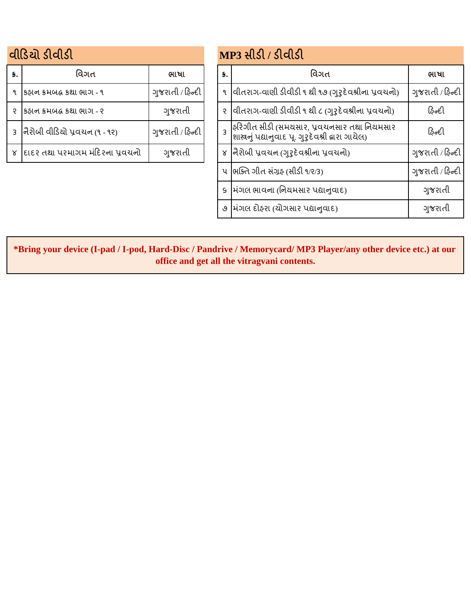|    | વીડિયો ડીવીડી                      |                  |    | MP3 સીડી / ડીવીડી                                                                                  |
|----|------------------------------------|------------------|----|----------------------------------------------------------------------------------------------------|
| S. | વિગત                               | ભાષા             | S. | વિગત                                                                                               |
|    | કઠાન કમબદ્ધ કથા ભાગ - ૧            | ગુજરાતી / ફિન્દી |    | ૧  વીતરાગ-વાણી ડીવીડી ૧ થી ૧૭ (ગુરૂદેવશ્રીના પ્રવચનો                                               |
| ę  | કઠાન કમબદ્ધ કથા ભાગ - ૨            | ગુજરાતી          |    | ૨ વિતિરાગ-વાણી ડીવીડી ૧ થી ૮ (ગુરૂદેવશ્રીના પ્રવચનો)                                               |
|    | 3  નૈરોબી વીડિયો પ્રવચન (૧ - ૧૨)   | ગુજરાતી / ફિન્દી |    | ફરિગીત સીડી (સમયસાર, પ્રવચનસાર તથા નિયમસાર<br> શાસ્ત્રનું પદ્યાનુવાદ પૂ. ગુરૂદેવશ્રી દ્વારા ગાયેલ) |
|    | ૪  દાદર તથા પરમાગમ મંદિરના પ્રવચનો | ગુજરાતી          |    | ४  નૈરોબી પ્રવચન (ગુરૃદેવશ્રીના પ્રવચનો)                                                           |

|     | નીડિચો ડીવીડી                      |                  |                         | MP3 સીડી / ડીવીડી                                                                                |                  |  |  |  |
|-----|------------------------------------|------------------|-------------------------|--------------------------------------------------------------------------------------------------|------------------|--|--|--|
| \$. | વિગત                               | ભાષા             | $\mathbf{s}$ .          | વિગત                                                                                             | ભાષા             |  |  |  |
|     | ૧ કિફાન ક્રમબદ્ધ કથા ભાગ - ૧       | ગુજરાતી / ફિન્દી | ঀ                       | વીતરાગ-વાણી ડીવીડી ૧ થી ૧૭ (ગુરૂદેવશ્રીના પ્રવચનો)                                               | ગુજરાતી / ફિન્દી |  |  |  |
|     | ૨ કિફાન ક્રમબદ્ધ કથા ભાગ - ૨       | ગુજરાતી          |                         | ૨ વિતિરાગ-વાણી ડીવીડી ૧ થી ૮ (ગુરુદેવશ્રીના પ્રવચનો)                                             | ફિન્દી           |  |  |  |
|     | 3  નૈરોબી વીડિયો પ્રવચન (૧ - ૧૨)   | ગુજરાતી / ફિન્દી | $\overline{\mathbf{z}}$ | ફરિગીત સીડી (સમયસાર, પ્રવચનસાર તથા નિયમસાર<br> શાસ્રનું પદ્યાનુવાદ પૂ. ગુરુદેવશ્રી દ્વારા ગાયેલ) | ફિન્દી           |  |  |  |
|     | ૪  દાદર તથા પરમાગમ મંદિરના પ્રવચનો | ગુજરાતી          |                         | ४  નૈરોબી પ્રવચન (ગુરુદેવશ્રીના પ્રવચનો)                                                         | ગુજરાતી / ફિન્દી |  |  |  |
|     |                                    |                  | ૫                       | ભક્તિ ગીત સંગ્રફ (સીડી ૧/૨/૩)                                                                    | ગુજરાતી / ફિન્દી |  |  |  |
|     |                                    |                  | $\mathsf{S}$            | મિંગલ ભાવના (નિયમસાર પદ્યાનુવાદ)                                                                 | ગુજરાતી          |  |  |  |
|     |                                    |                  |                         | ૭ મિંગલ દોફરા (યોગસાર પદ્યાનુવાદ)                                                                | ગુજરાતી          |  |  |  |

**\*Bring your device (I-pad / I-pod, Hard-Disc / Pandrive / Memorycard/ MP3 Player/any other device etc.) at our office and get all the vitragvani contents.**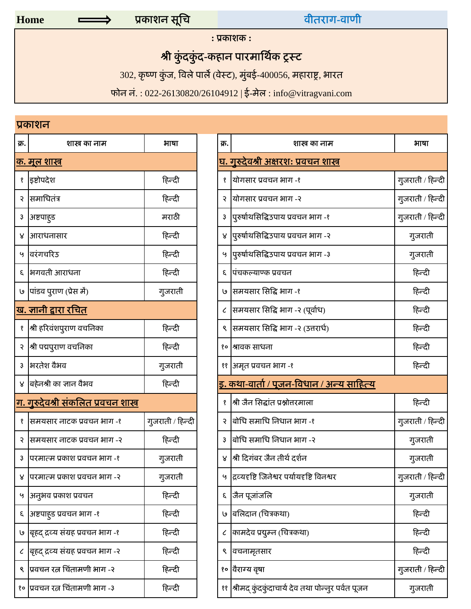वीतराग**-**वाणी

**:** ूकाशक **:**

### श्री कुंदकुंद-कहान पारमार्थिक ट्रस्ट

 $302$ , कृष्ण कुंज, विले पार्ले (वेस्ट), मुंबई-400056, महाराष्ट्र, भारत

फोन नं. : 022-26130820/26104912 | ई-मेल : info@vitragvani.com

## ूकाशन

| क्र. | शास्त्र का नाम                              | भाषा             |
|------|---------------------------------------------|------------------|
|      | <u>क. मूल शास्त्र</u>                       |                  |
| Ş    | इष्टोपदेश                                   | हिन्दी           |
| २    | समाधितंत्र                                  | हिन्दी           |
| ҙ    | अष्टपाहड                                    | मराठी            |
| ४    | आराधनासार                                   | हिन्दी           |
| ત્ર  | वरंगचरिउ                                    | हिन्दी           |
| 3    | भगवती आराधना                                | हिन्दी           |
| وا   | पांडव पुराण (प्रेस में)                     | गुजराती          |
|      | <u>ख. ज्ञानी द्वारा रचित</u>                |                  |
| Ş    | श्री हरिवंशपुराण वचनिका                     | हिन्दी           |
| 5    | श्री पद्मपुराण वचनिका                       | हिन्दी           |
| 3    | भरतेश वैभव                                  | गुजराती          |
| ४    | बहेनश्री का ज्ञान वैभव                      | हिन्दी           |
|      | <u>ग. गुरुदेवश्री संकलित प्रवचन शास्त्र</u> |                  |
| १    | समयसार नाटक प्रवचन भाग -१                   | गुजराती / हिन्दी |
| ર    | समयसार नाटक प्रवचन भाग -२                   | हिन्दी           |
| З    | परमात्म प्रकाश प्रवचन भाग -१                | गुजराती          |
| ୪    | परमात्म प्रकाश प्रवचन भाग -२                | गुजराती          |
| Ч    | अनुभव प्रकाश प्रवचन                         | हिन्दी           |
| ξ    | अष्टपाहुड प्रवचन भाग -१                     | हिन्दी           |
| وا   | बृहद द्रव्य संग्रह प्रवचन भाग -१            | हिन्दी           |
| ८    | बृहद द्रव्य संग्रह प्रवचन भाग -२            | हिन्दी           |
| ९    | प्रवचन रत्न चिंतामणी भाग -२                 | हिन्दी           |
| १०   | प्रवचन रत्न चिंतामणी भाग -३                 | हिन्दी           |

|               | प्रकारान                                    |                  |      |                                                       |                  |
|---------------|---------------------------------------------|------------------|------|-------------------------------------------------------|------------------|
| क्र.          | शास्त्र का नाम                              | भाषा             | क्र. | शास्त्र का नाम                                        | भाषा             |
|               | <u> फ. मूल शास्त्र</u>                      |                  |      | <u>घ. गुरुदेवश्री अक्षरश: प्रवचन शास्त्र</u>          |                  |
|               | १  इष्टोपदेश                                | हिन्दी           |      | योगसार प्रवचन भाग -१                                  | गुजराती / हिन्दी |
| २             | सिमाधितंत्र                                 | हिन्दी           |      | योगसार प्रवचन भाग -२                                  | गुजराती / हिन्दी |
| ҙ             | अष्टपाहड                                    | मराठी            |      | पुरुर्षाथसिद्धिउपाय प्रवचन भाग -१                     | गुजराती / हिन्दी |
| ४             | आराधनासार                                   | हिन्दी           |      | ४  पुरुर्षाथसिद्धिउपाय प्रवचन भाग -२                  | गुजराती          |
| બુ            | विरंगचरिउ                                   | हिन्दी           |      | ५  पुरुर्षाथसिद्धिउपाय प्रवचन भाग -३                  | गुजराती          |
| ξ             | भगवती आराधना                                | हिन्दी           | ξ    | पिचकल्याण्क प्रवचन                                    | हिन्दी           |
|               | ७  पांडव पुराण (प्रेस में)                  | गुजराती          |      | 9- समयसार सिद्धि भाग ﴾                                | हिन्दी           |
|               | <u>ख. जानी द्वारा रचित</u>                  |                  |      | समयसार सिद्धि भाग -२ (पूर्वाध)                        | हिन्दी           |
|               | श्री हरिवंशपुराण वचनिका                     | हिन्दी           |      | सिमयसार सिद्धि भाग -२ (उत्तरार्ध)                     | हिन्दी           |
|               | २  श्री पद्मपुराण वचनिका                    | हिन्दी           | १०   | श्रावक साधना                                          | हिन्दी           |
| $\mathfrak z$ | भरतेश वैभव                                  | गुजराती          |      | ११  अमृत प्रवचन भाग -१                                | हिन्दी           |
| ୪             | बहेनश्री का ज्ञान वैभव                      | हिन्दी           |      | <u>इ. कथा-वार्ता / पूजन-विधान / अन्य साहित्य</u>      |                  |
|               | <u>ग. गुरुदेवश्री संकलित प्रवचन शास्त्र</u> |                  |      | श्री जैन सिद्धांत प्रश्नोत्तरमाला                     | हिन्दी           |
|               | १  समयसार नाटक प्रवचन भाग -१                | गुजराती / हिन्दी |      | बोधि समाधि निधान भाग -१                               | गुजराती / हिन्दी |
|               | २  समयसार नाटक प्रवचन भाग -२                | हिन्दी           |      | बोधि समाधि निधान भाग -२                               | गुजराती          |
| 3             | ।परमात्म प्रकाश प्रवचन भाग -१               | गुजराती          |      | श्री दिगंबर जैन तीर्थ दर्शन                           | गुजराती          |
| ४             | परमात्म प्रकाश प्रवचन भाग -२                | गुजराती          | Ч    | द्रिव्यदृष्टि जिनेश्वर पर्यायदृष्टि विनश्वर           | गुजराती / हिन्दी |
| ٷ             | अनुभव प्रकाश प्रवचन                         | हिन्दी           | ξ    | जैन पूजांजलि                                          | गुजराती          |
| ξ             | अष्टपाहुड प्रवचन भाग -१                     | हिन्दी           | ७    | बिलिदान (चित्रकथा)                                    | हिन्दी           |
| وا            | बृहद द्रव्य संग्रह प्रवचन भाग -१            | हिन्दी           | ८    | कामदेव प्रयुम्न (चित्रकथा)                            | हिन्दी           |
| $\epsilon$    | बृहद द्रव्य संग्रह प्रवचन भाग -२            | हिन्दी           | ९    | वचनामृतसार                                            | हिन्दी           |
| ९             | प्रिवचन रत्न चिंतामणी भाग -२                | हिन्दी           |      | १० विराग्य वृषा                                       | गुजराती / हिन्दी |
|               | १०  प्रवचन रत्न चिंतामणी भाग -३             | हिन्दी           |      | ११  श्रीमद् कुंदकुंदाचार्य देव तथा पोन्नुर पर्वत पूजन | गुजराती          |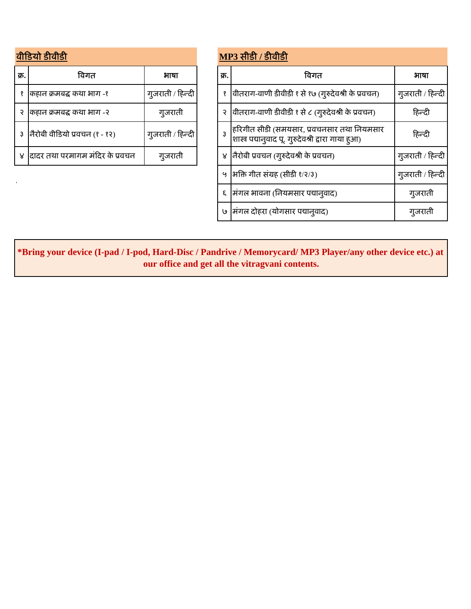## वीिडयो डीवीडी **MP3** सीडी **/** डीवीडी

| क्र. | विगत                            | भाषा             | क्र. | विगत                                                                                              |
|------|---------------------------------|------------------|------|---------------------------------------------------------------------------------------------------|
|      | कहान क्रमबद्ध कथा भाग -१        | गुजराती / हिन्दी |      | (गुरुदेवश्री के प्रवचन) وا (गुरुदेवश्री के प्रवचन)                                                |
|      | कहान क्रमबद्ध कथा भाग -२        | गुजराती          |      | वीतराग-वाणी डीवीडी १ से ८ (गुरुदेवश्री के प्रवचन)                                                 |
|      | नैरोबी वीडियो प्रवचन (१ - १२)   | गुजराती / हिन्दी |      | हरिगीत सीडी (समयसार, प्रवचनसार तथा नियमसार<br>शास्त्र पद्यानुवाद पू. गुरुदेवश्री द्वारा गाया हुआ) |
|      | दादर तथा परमागम मंदिर के प्रवचन | गुजराती          | ४    | नैरोबी प्रवचन (गुरुदेवश्री के प्रवचन)                                                             |

|      | ग्रीडियो डीवीडी                    |                  | <b>MP3 सीडी / डीवीडी</b> |                                                                                                    |                  |  |  |
|------|------------------------------------|------------------|--------------------------|----------------------------------------------------------------------------------------------------|------------------|--|--|
| क्र. | विगत                               | भाषा             | क्र.                     | विगत                                                                                               | भाषा             |  |  |
|      | १  कहान क्रमबद्ध कथा भाग -१        | गुजराती / हिन्दी |                          | (गुरुदेवश्री के प्रवचन) ७१ से १७ (गुरुदेवश्री के प्रवचन)                                           | गुजराती / हिन्दी |  |  |
|      | २ किहान क्रमबद्ध कथा भाग -२        | गुजराती          |                          | वीतराग-वाणी डीवीडी १ से ८ (गुरुदेवश्री के प्रवचन)                                                  | हिन्दी           |  |  |
|      | ३  नैरोबी वीडियो प्रवचन (१ - १२)   | गुजराती / हिन्दी |                          | हिरिगीत सीडी (समयसार, प्रवचनसार तथा नियमसार<br>शास्त्र पद्यानुवाद पू. गुरुदेवश्री द्वारा गाया हुआ) | हिन्दी           |  |  |
|      | ४  दादर तथा परमागम मंदिर के प्रवचन | गुजराती          |                          | नैरोबी प्रवचन (गुरुदेवश्री के प्रवचन)                                                              | गुजराती / हिन्दी |  |  |
|      |                                    |                  |                          | ५  भक्ति गीत संग्रह (सीडी १/२/३)                                                                   | गुजराती / हिन्दी |  |  |
|      |                                    |                  |                          | मंगल भावना (नियमसार पद्यानुवाद)                                                                    | गुजराती          |  |  |
|      |                                    |                  |                          | ७  मंगल दोहरा (योगसार पद्यानुवाद)                                                                  | गुजराती          |  |  |

**\*Bring your device (I-pad / I-pod, Hard-Disc / Pandrive / Memorycard/ MP3 Player/any other device etc.) at our office and get all the vitragvani contents.**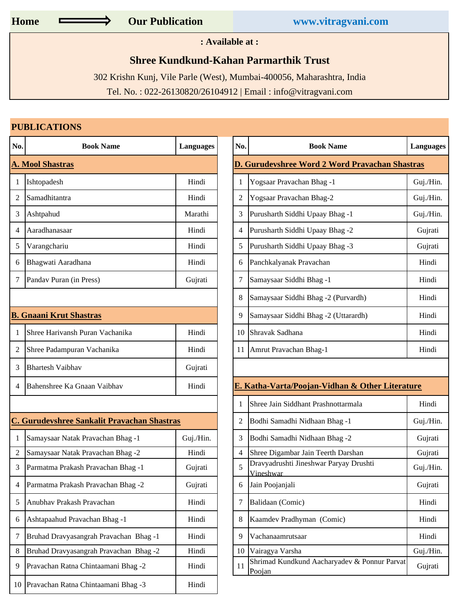**: Available at :**

#### **Shree Kundkund-Kahan Parmarthik Trust**

302 Krishn Kunj, Vile Parle (West), Mumbai-400056, Maharashtra, India

Tel. No. : 022-26130820/26104912 | Email : info@vitragvani.com

#### **PUBLICATIONS**

| No.            | <b>Book Name</b>                                   | <b>Languages</b> | No.            | <b>Book Name</b>                                       | Lan            |
|----------------|----------------------------------------------------|------------------|----------------|--------------------------------------------------------|----------------|
|                | <b>A. Mool Shastras</b>                            |                  |                | D. Gurudevshree Word 2 Word Pravachan Shastras         |                |
| 1              | Ishtopadesh                                        | Hindi            | 1              | Yogsaar Pravachan Bhag -1                              | Guj            |
| $\overline{2}$ | Samadhitantra                                      | Hindi            | 2              | Yogsaar Pravachan Bhag-2                               | Guj            |
| 3              | Ashtpahud                                          | Marathi          | 3              | Purusharth Siddhi Upaay Bhag -1                        | Gu             |
| 4              | Aaradhanasaar                                      | Hindi            | 4              | Purusharth Siddhi Upaay Bhag -2                        | G              |
| 5              | Varangchariu                                       | Hindi            | 5              | Purusharth Siddhi Upaay Bhag -3                        | G <sub>l</sub> |
| 6              | Bhagwati Aaradhana                                 | Hindi            | 6              | Panchkalyanak Pravachan                                | H              |
| 7              | Pandav Puran (in Press)                            | Gujrati          | 7              | Samaysaar Siddhi Bhag -1                               | H              |
|                |                                                    |                  | 8              | Samaysaar Siddhi Bhag -2 (Purvardh)                    | H              |
|                | <b>B. Gnaani Krut Shastras</b>                     |                  | 9              | Samaysaar Siddhi Bhag -2 (Uttarardh)                   | H              |
| 1              | Shree Harivansh Puran Vachanika                    | Hindi            | 10             | Shravak Sadhana                                        | H              |
| 2              | Shree Padampuran Vachanika                         | Hindi            | 11             | Amrut Pravachan Bhag-1                                 | $\mathbf H$    |
| 3              | <b>Bhartesh Vaibhav</b>                            | Gujrati          |                |                                                        |                |
| 4              | Bahenshree Ka Gnaan Vaibhav                        | Hindi            |                | E. Katha-Varta/Poojan-Vidhan & Other Literature        |                |
|                |                                                    |                  | 1              | Shree Jain Siddhant Prashnottarmala                    | $\mathbf H$    |
|                | <b>C. Gurudevshree Sankalit Pravachan Shastras</b> |                  | 2              | Bodhi Samadhi Nidhaan Bhag -1                          | Gu             |
| $\mathbf{1}$   | Samaysaar Natak Pravachan Bhag -1                  | Guj./Hin.        | 3              | Bodhi Samadhi Nidhaan Bhag -2                          | G <sub>l</sub> |
| $\overline{2}$ | Samaysaar Natak Pravachan Bhag -2                  | Hindi            | $\overline{4}$ | Shree Digambar Jain Teerth Darshan                     | G <sub>l</sub> |
| 3              | Parmatma Prakash Pravachan Bhag -1                 | Gujrati          | 5              | Dravyadrushti Jineshwar Paryay Drushti<br>Vineshwar    | Guj            |
| 4              | Parmatma Prakash Pravachan Bhag -2                 | Gujrati          | 6              | Jain Poojanjali                                        | G              |
| 5              | Anubhav Prakash Pravachan                          | Hindi            | 7              | Balidaan (Comic)                                       | H              |
| 6              | Ashtapaahud Pravachan Bhag -1                      | Hindi            | 8              | Kaamdev Pradhyman (Comic)                              | H              |
| 7              | Bruhad Dravyasangrah Pravachan Bhag-1              | Hindi            | 9              | Vachanaamrutsaar                                       | $\mathbf H$    |
| 8              | Bruhad Dravyasangrah Pravachan Bhag-2              | Hindi            | 10             | Vairagya Varsha                                        | Guj            |
| 9              | Pravachan Ratna Chintaamani Bhag -2                | Hindi            | 11             | Shrimad Kundkund Aacharyadev & Ponnur Parvat<br>Poojan | G <sub>l</sub> |
| 10             | Pravachan Ratna Chintaamani Bhag -3                | Hindi            |                |                                                        |                |

| No.            | <b>Book Name</b>                            | <b>Languages</b> | No.<br><b>Book Name</b> |                                                        | <b>Languages</b> |  |  |
|----------------|---------------------------------------------|------------------|-------------------------|--------------------------------------------------------|------------------|--|--|
|                | <b>A. Mool Shastras</b>                     |                  |                         | <b>D. Gurudevshree Word 2 Word Pravachan Shastras</b>  |                  |  |  |
|                | Ishtopadesh                                 | Hindi            |                         | Yogsaar Pravachan Bhag -1                              | Guj./Hin.        |  |  |
| $\overline{2}$ | Samadhitantra                               | Hindi            | $\mathfrak{2}$          | Yogsaar Pravachan Bhag-2                               | Guj./Hin.        |  |  |
| 3              | Ashtpahud                                   | Marathi          | 3                       | Purusharth Siddhi Upaay Bhag -1                        | Guj./Hin.        |  |  |
| $\overline{4}$ | Aaradhanasaar                               | Hindi            | 4                       | Purusharth Siddhi Upaay Bhag -2                        | Gujrati          |  |  |
| 5              | Varangchariu                                | Hindi            | 5                       | Purusharth Siddhi Upaay Bhag -3                        | Gujrati          |  |  |
| 6              | Bhagwati Aaradhana                          | Hindi            | 6                       | Panchkalyanak Pravachan                                | Hindi            |  |  |
| 7              | Pandav Puran (in Press)                     | Gujrati          | 7                       | Samaysaar Siddhi Bhag -1                               | Hindi            |  |  |
|                |                                             |                  |                         | Samaysaar Siddhi Bhag -2 (Purvardh)                    | Hindi            |  |  |
|                | <b>B. Gnaani Krut Shastras</b>              |                  | 9                       | Samaysaar Siddhi Bhag -2 (Uttarardh)                   | Hindi            |  |  |
| $\overline{1}$ | Shree Harivansh Puran Vachanika             | Hindi            | 10                      | Shravak Sadhana                                        | Hindi            |  |  |
| 2              | Shree Padampuran Vachanika                  | Hindi            | 11                      | Amrut Pravachan Bhag-1                                 | Hindi            |  |  |
| 3              | <b>Bhartesh Vaibhav</b>                     | Gujrati          |                         |                                                        |                  |  |  |
| 4              | Bahenshree Ka Gnaan Vaibhav                 | Hindi            |                         | E. Katha-Varta/Poojan-Vidhan & Other Literature        |                  |  |  |
|                |                                             |                  |                         | Shree Jain Siddhant Prashnottarmala                    | Hindi            |  |  |
|                | C. Gurudevshree Sankalit Pravachan Shastras |                  | 2                       | Bodhi Samadhi Nidhaan Bhag -1                          | Guj./Hin.        |  |  |
| -1             | Samaysaar Natak Pravachan Bhag -1           | Guj./Hin.        | 3                       | Bodhi Samadhi Nidhaan Bhag -2                          | Gujrati          |  |  |
| $\sqrt{2}$     | Samaysaar Natak Pravachan Bhag -2           | Hindi            | 4                       | Shree Digambar Jain Teerth Darshan                     | Gujrati          |  |  |
| 3              | Parmatma Prakash Pravachan Bhag -1          | Gujrati          | 5                       | Dravyadrushti Jineshwar Paryay Drushti<br>Vineshwar    | Guj./Hin.        |  |  |
| $\overline{4}$ | Parmatma Prakash Pravachan Bhag -2          | Gujrati          | 6                       | Jain Poojanjali                                        | Gujrati          |  |  |
| 5              | Anubhav Prakash Pravachan                   | Hindi            | 7                       | Balidaan (Comic)                                       | Hindi            |  |  |
| 6              | Ashtapaahud Pravachan Bhag -1               | Hindi            | 8                       | Kaamdev Pradhyman (Comic)                              | Hindi            |  |  |
| 7              | Bruhad Dravyasangrah Pravachan Bhag-1       | Hindi            | 9                       | Vachanaamrutsaar                                       | Hindi            |  |  |
| 8              | Bruhad Dravyasangrah Pravachan Bhag -2      | Hindi            | 10                      | Vairagya Varsha                                        | Guj./Hin.        |  |  |
| 9              | Pravachan Ratna Chintaamani Bhag -2         | Hindi            | 11                      | Shrimad Kundkund Aacharyadev & Ponnur Parvat<br>Poojan | Gujrati          |  |  |
|                |                                             |                  |                         |                                                        |                  |  |  |